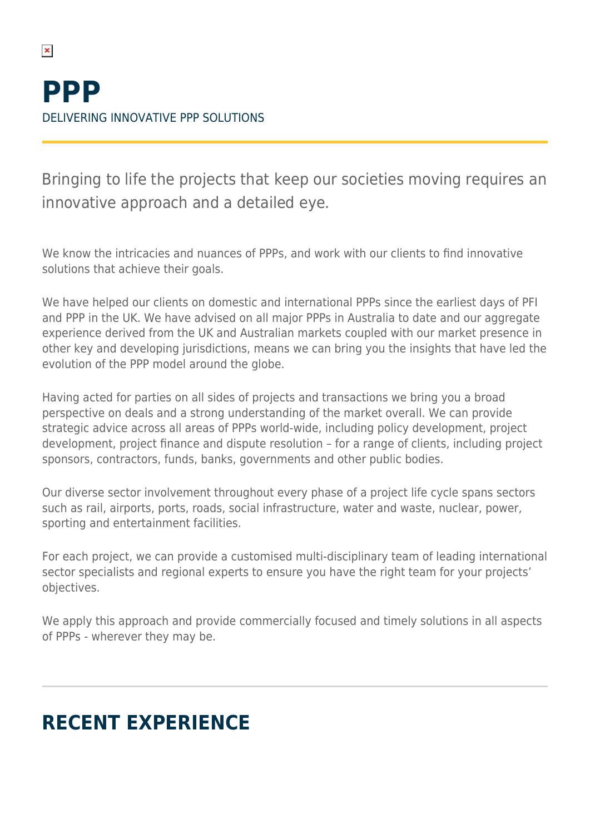$\pmb{\times}$ 

Bringing to life the projects that keep our societies moving requires an innovative approach and a detailed eye.

We know the intricacies and nuances of PPPs, and work with our clients to find innovative solutions that achieve their goals.

We have helped our clients on domestic and international PPPs since the earliest days of PFI and PPP in the UK. We have advised on all major PPPs in Australia to date and our aggregate experience derived from the UK and Australian markets coupled with our market presence in other key and developing jurisdictions, means we can bring you the insights that have led the evolution of the PPP model around the globe.

Having acted for parties on all sides of projects and transactions we bring you a broad perspective on deals and a strong understanding of the market overall. We can provide strategic advice across all areas of PPPs world-wide, including policy development, project development, project finance and dispute resolution – for a range of clients, including project sponsors, contractors, funds, banks, governments and other public bodies.

Our diverse sector involvement throughout every phase of a project life cycle spans sectors such as rail, airports, ports, roads, social infrastructure, water and waste, nuclear, power, sporting and entertainment facilities.

For each project, we can provide a customised multi-disciplinary team of leading international sector specialists and regional experts to ensure you have the right team for your projects' objectives.

We apply this approach and provide commercially focused and timely solutions in all aspects of PPPs - wherever they may be.

# **RECENT EXPERIENCE**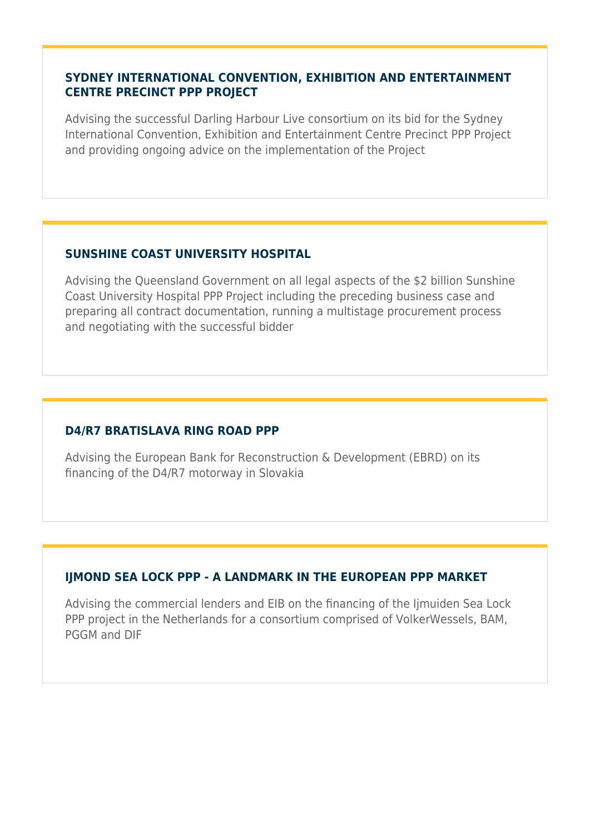#### **SYDNEY INTERNATIONAL CONVENTION, EXHIBITION AND ENTERTAINMENT CENTRE PRECINCT PPP PROJECT**

Advising the successful Darling Harbour Live consortium on its bid for the Sydney International Convention, Exhibition and Entertainment Centre Precinct PPP Project and providing ongoing advice on the implementation of the Project

### **SUNSHINE COAST UNIVERSITY HOSPITAL**

Advising the Queensland Government on all legal aspects of the \$2 billion Sunshine Coast University Hospital PPP Project including the preceding business case and preparing all contract documentation, running a multistage procurement process and negotiating with the successful bidder

### **D4/R7 BRATISLAVA RING ROAD PPP**

Advising the European Bank for Reconstruction & Development (EBRD) on its financing of the D4/R7 motorway in Slovakia

## **IJMOND SEA LOCK PPP - A LANDMARK IN THE EUROPEAN PPP MARKET**

Advising the commercial lenders and EIB on the financing of the Ijmuiden Sea Lock PPP project in the Netherlands for a consortium comprised of VolkerWessels, BAM, PGGM and DIF